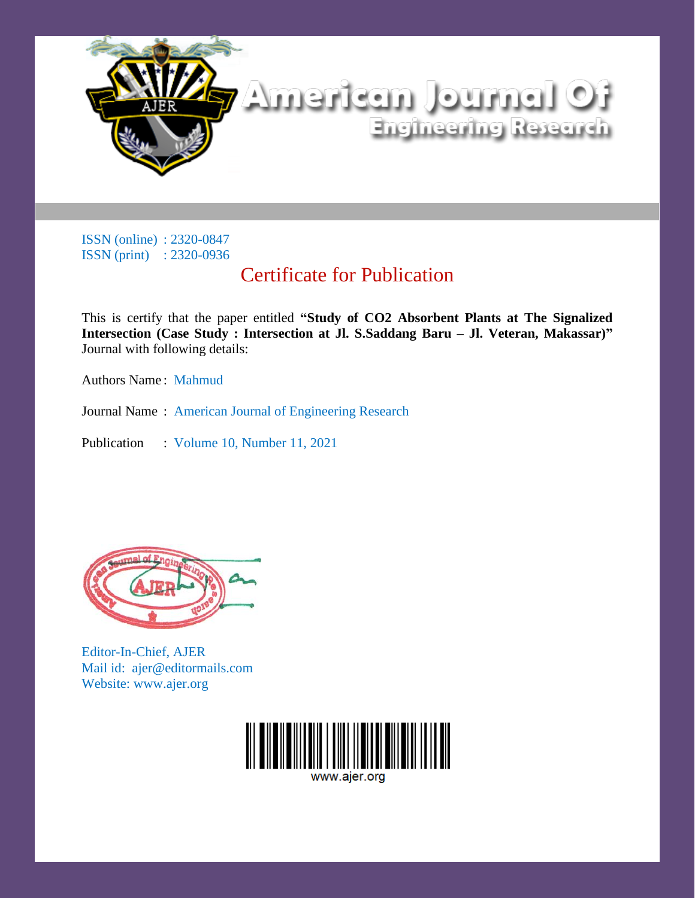

# Certificate for Publication

This is certify that the paper entitled **"Study of CO2 Absorbent Plants at The Signalized Intersection (Case Study : Intersection at Jl. S.Saddang Baru – Jl. Veteran, Makassar)"** Journal with following details:

Authors Name : Mahmud

Journal Name : American Journal of Engineering Research

Publication : Volume 10, Number 11, 2021



Editor-In-Chief, AJER Mail id: ajer@editormails.com Website: www.ajer.org

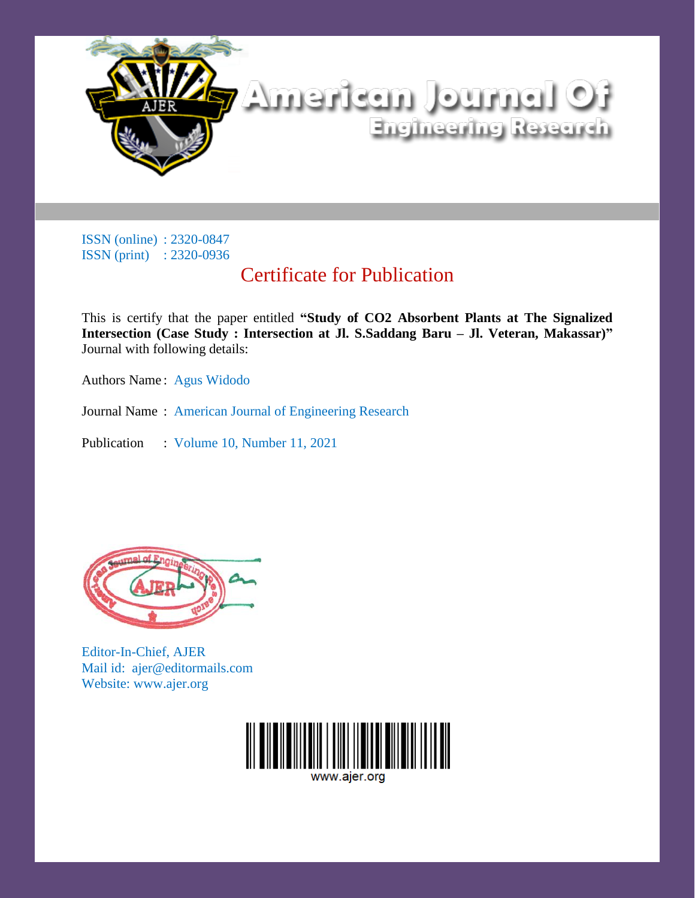

# Certificate for Publication

This is certify that the paper entitled **"Study of CO2 Absorbent Plants at The Signalized Intersection (Case Study : Intersection at Jl. S.Saddang Baru – Jl. Veteran, Makassar)"** Journal with following details:

Authors Name : Agus Widodo

Journal Name : American Journal of Engineering Research

Publication : Volume 10, Number 11, 2021



Editor-In-Chief, AJER Mail id: ajer@editormails.com Website: www.ajer.org

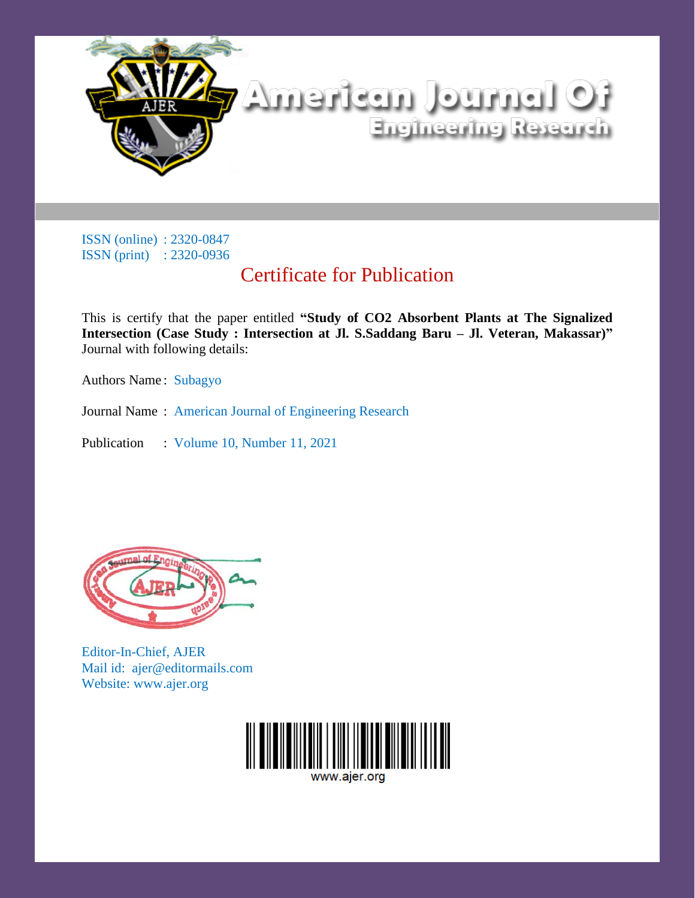

# Certificate for Publication

This is certify that the paper entitled **"Study of CO2 Absorbent Plants at The Signalized Intersection (Case Study : Intersection at Jl. S.Saddang Baru – Jl. Veteran, Makassar)"** Journal with following details:

Authors Name : Subagyo

Journal Name : American Journal of Engineering Research

Publication : Volume 10, Number 11, 2021



Editor-In-Chief, AJER Mail id: ajer@editormails.com Website: www.ajer.org

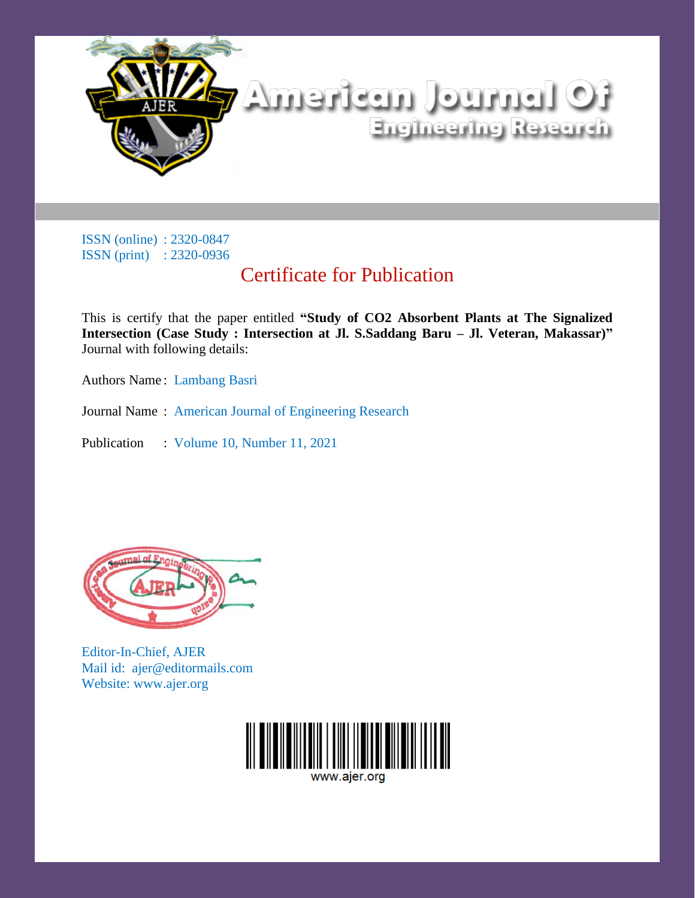

# Certificate for Publication

This is certify that the paper entitled **"Study of CO2 Absorbent Plants at The Signalized Intersection (Case Study : Intersection at Jl. S.Saddang Baru – Jl. Veteran, Makassar)"** Journal with following details:

Authors Name : Lambang Basri

Journal Name : American Journal of Engineering Research

Publication : Volume 10, Number 11, 2021



Editor-In-Chief, AJER Mail id: ajer@editormails.com Website: www.ajer.org